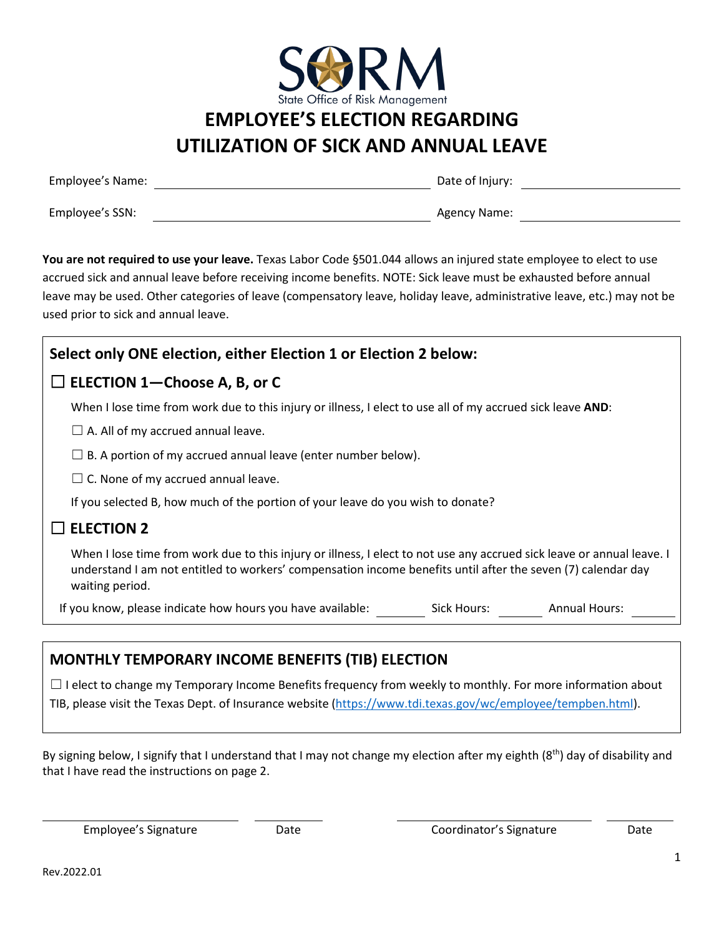

# **EMPLOYEE'S ELECTION REGARDING UTILIZATION OF SICK AND ANNUAL LEAVE**

| Employee's Name: | Date of Injury: |
|------------------|-----------------|
| Employee's SSN:  | Agency Name:    |

You are not required to use your leave. Texas Labor Code §501.044 allows an injured state employee to elect to use accrued sick and annual leave before receiving income benefits. NOTE: Sick leave must be exhausted before annual leave may be used. Other categories of leave (compensatory leave, holiday leave, administrative leave, etc.) may not be used prior to sick and annual leave.

| Select only ONE election, either Election 1 or Election 2 below:                                                                                                                                                                                          |  |
|-----------------------------------------------------------------------------------------------------------------------------------------------------------------------------------------------------------------------------------------------------------|--|
| $\Box$ ELECTION 1-Choose A, B, or C                                                                                                                                                                                                                       |  |
| When I lose time from work due to this injury or illness, I elect to use all of my accrued sick leave AND:                                                                                                                                                |  |
| $\Box$ A. All of my accrued annual leave.                                                                                                                                                                                                                 |  |
| $\Box$ B. A portion of my accrued annual leave (enter number below).                                                                                                                                                                                      |  |
| $\Box$ C. None of my accrued annual leave.                                                                                                                                                                                                                |  |
| If you selected B, how much of the portion of your leave do you wish to donate?                                                                                                                                                                           |  |
| <b>ELECTION 2</b>                                                                                                                                                                                                                                         |  |
| When I lose time from work due to this injury or illness, I elect to not use any accrued sick leave or annual leave. I<br>understand I am not entitled to workers' compensation income benefits until after the seven (7) calendar day<br>waiting period. |  |
| If you know, please indicate how hours you have available:<br>Sick Hours:<br><b>Annual Hours:</b>                                                                                                                                                         |  |

## **MONTHLY TEMPORARY INCOME BENEFITS (TIB) ELECTION**

□ I elect to change my Temporary Income Benefits frequency from weekly to monthly. For more information about TIB, please visit the Texas Dept. of Insurance website [\(https://www.tdi.texas.gov/wc/employee/tempben.html\)](https://www.tdi.texas.gov/wc/employee/tempben.html).

By signing below, I signify that I understand that I may not change my election after my eighth  $(8<sup>th</sup>)$  day of disability and that I have read the instructions on page 2.

Employee's Signature Date Coordinator's Signature Date